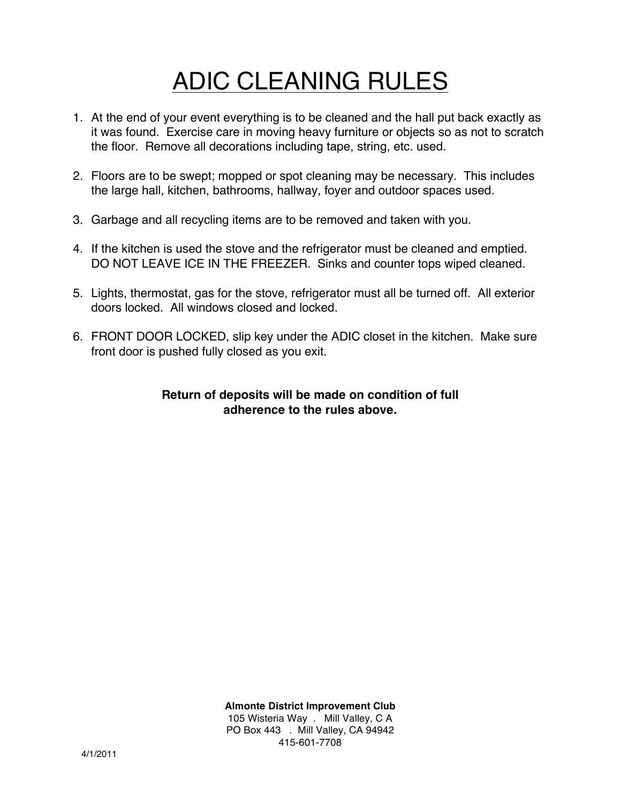## ADIC CLEANING RULES

- 1. At the end of your event everything is to be cleaned and the hall put back exactly as it was found. Exercise care in moving heavy furniture or objects so as not to scratch the floor. Remove all decorations including tape, string, etc. used.
- 2. Floors are to be swept; mopped or spot cleaning may be necessary. This includes the large hall, kitchen, bathrooms, hallway, foyer and outdoor spaces used.
- 3. Garbage and all recycling items are to be removed and taken with you.
- 4. If the kitchen is used the stove and the refrigerator must be cleaned and emptied. DO NOT LEAVE ICE IN THE FREEZER. Sinks and counter tops wiped cleaned.
- 5. Lights, thermostat, gas for the stove, refrigerator must all be turned off. All exterior doors locked. All windows closed and locked.
- 6. FRONT DOOR LOCKED, slip key under the ADIC closet in the kitchen. Make sure front door is pushed fully closed as you exit.

## **Return of deposits will be made on condition of full adherence to the rules above.**

**Almonte District Improvement Club** 105 Wisteria Way . Mill Valley, C A

PO Box 443 . Mill Valley, CA 94942 415-601-7708